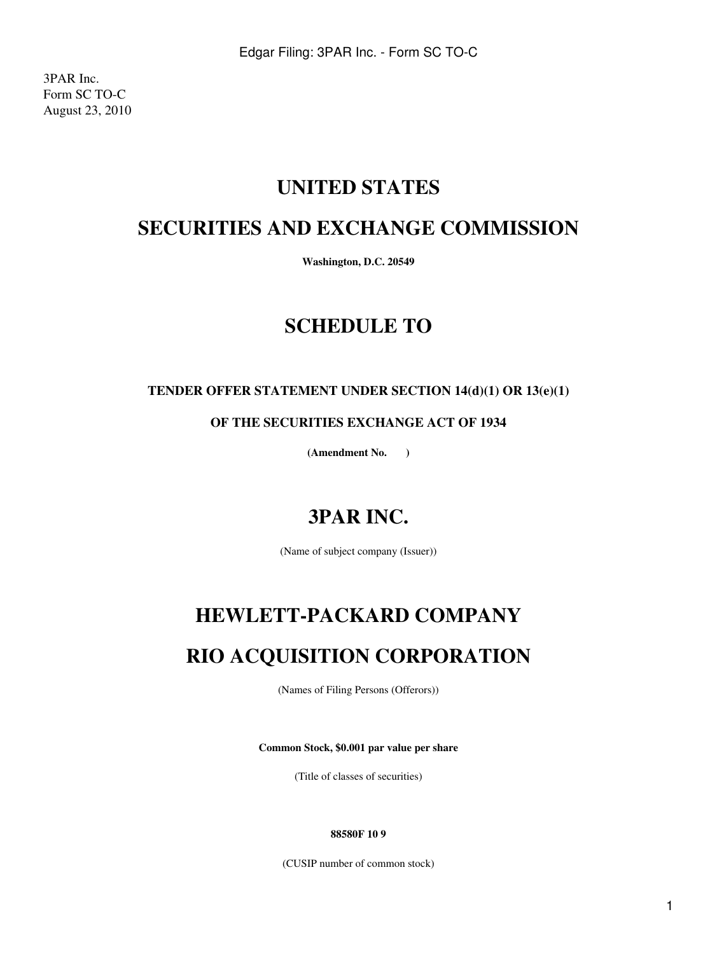3PAR Inc. Form SC TO-C August 23, 2010

# **UNITED STATES**

# **SECURITIES AND EXCHANGE COMMISSION**

**Washington, D.C. 20549**

# **SCHEDULE TO**

## **TENDER OFFER STATEMENT UNDER SECTION 14(d)(1) OR 13(e)(1)**

**OF THE SECURITIES EXCHANGE ACT OF 1934**

**(Amendment No. )**

# **3PAR INC.**

(Name of subject company (Issuer))

# **HEWLETT-PACKARD COMPANY**

# **RIO ACQUISITION CORPORATION**

(Names of Filing Persons (Offerors))

**Common Stock, \$0.001 par value per share**

(Title of classes of securities)

#### **88580F 10 9**

(CUSIP number of common stock)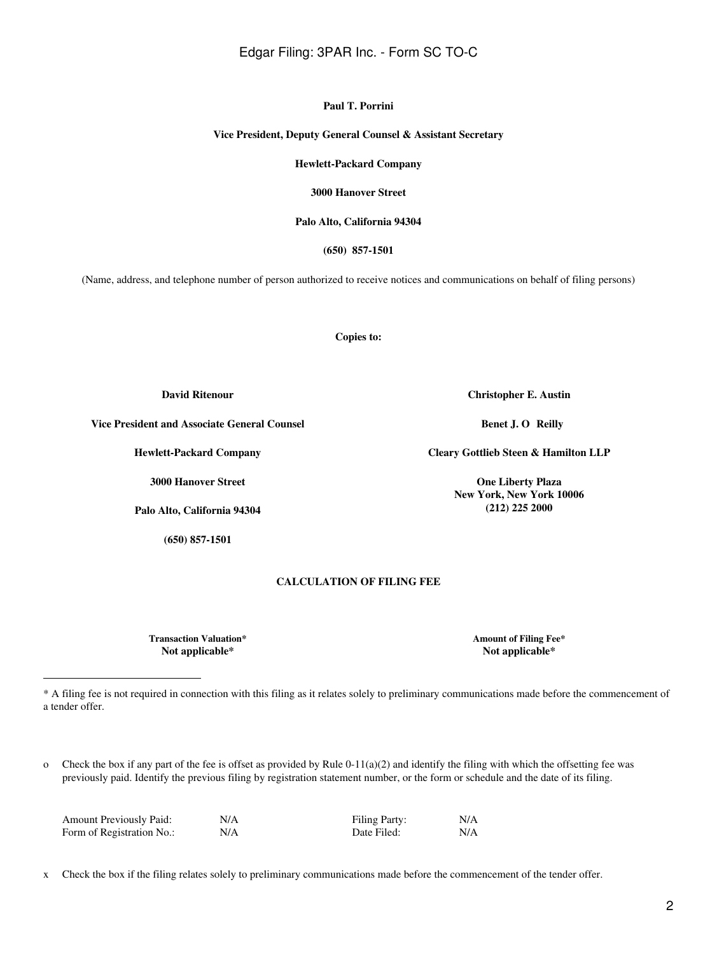x Check the box if the filing relates solely to preliminary communications made before the commencement of the tender offer.

# Edgar Filing: 3PAR Inc. - Form SC TO-C

**Paul T. Porrini**

**Vice President, Deputy General Counsel & Assistant Secretary**

**Hewlett-Packard Company**

**3000 Hanover Street**

**Palo Alto, California 94304**

**(650) 857-1501**

(Name, address, and telephone number of person authorized to receive notices and communications on behalf of filing persons)

**Copies to:**

**Christopher E. Austin**

**Benet J. O Reilly** 

**Cleary Gottlieb Steen & Hamilton LLP**

**One Liberty Plaza New York, New York 10006 (212) 225 2000**

**Vice President and Associate General Counsel**

**Hewlett-Packard Company**

**3000 Hanover Street**

**Palo Alto, California 94304**

**(650) 857-1501**

#### **CALCULATION OF FILING FEE**

\* A filing fee is not required in connection with this filing as it relates solely to preliminary communications made before the commencement of

**Transaction Valuation\* Amount of Filing Fee\* Not applicable\* Not applicable\***

a tender offer.

o Check the box if any part of the fee is offset as provided by Rule  $0-11(a)(2)$  and identify the filing with which the offsetting fee was previously paid. Identify the previous filing by registration statement number, or the form or schedule and the date of its filing.

| Form of Registration No.:<br>N/A<br>Date Filed: | <b>Amount Previously Paid:</b> | N/A | <b>Filing Party:</b> | N/A |
|-------------------------------------------------|--------------------------------|-----|----------------------|-----|
|                                                 |                                |     |                      | N/A |

**David Ritenour**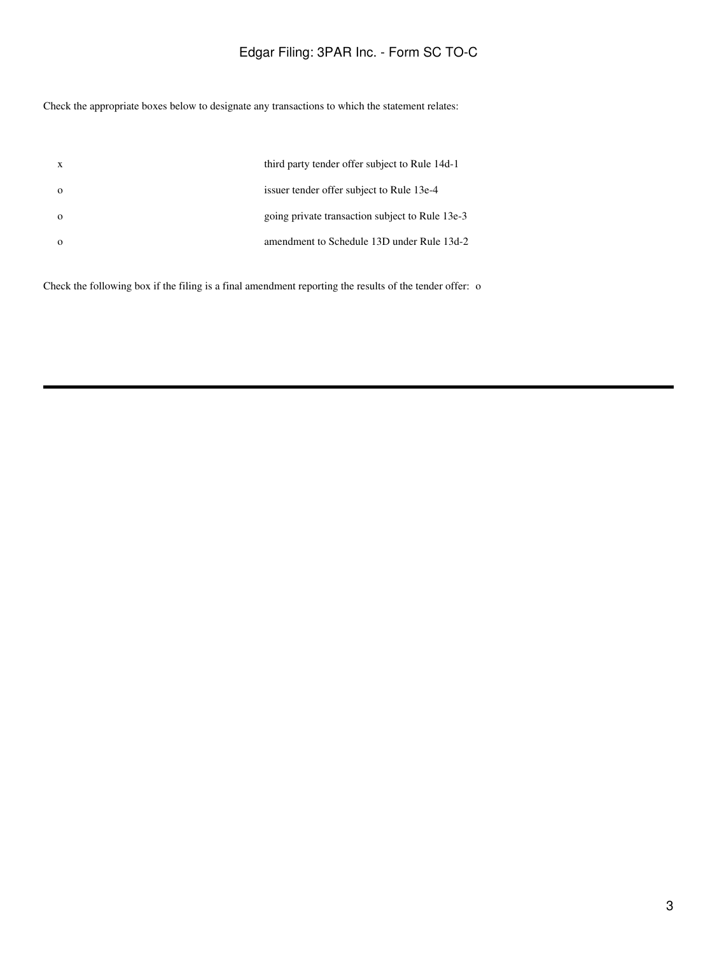Check the appropriate boxes below to designate any transactions to which the statement relates:

| X | third party tender offer subject to Rule 14d-1  |
|---|-------------------------------------------------|
|   | issuer tender offer subject to Rule 13e-4       |
|   | going private transaction subject to Rule 13e-3 |
|   | amendment to Schedule 13D under Rule 13d-2      |

Check the following box if the filing is a final amendment reporting the results of the tender offer: o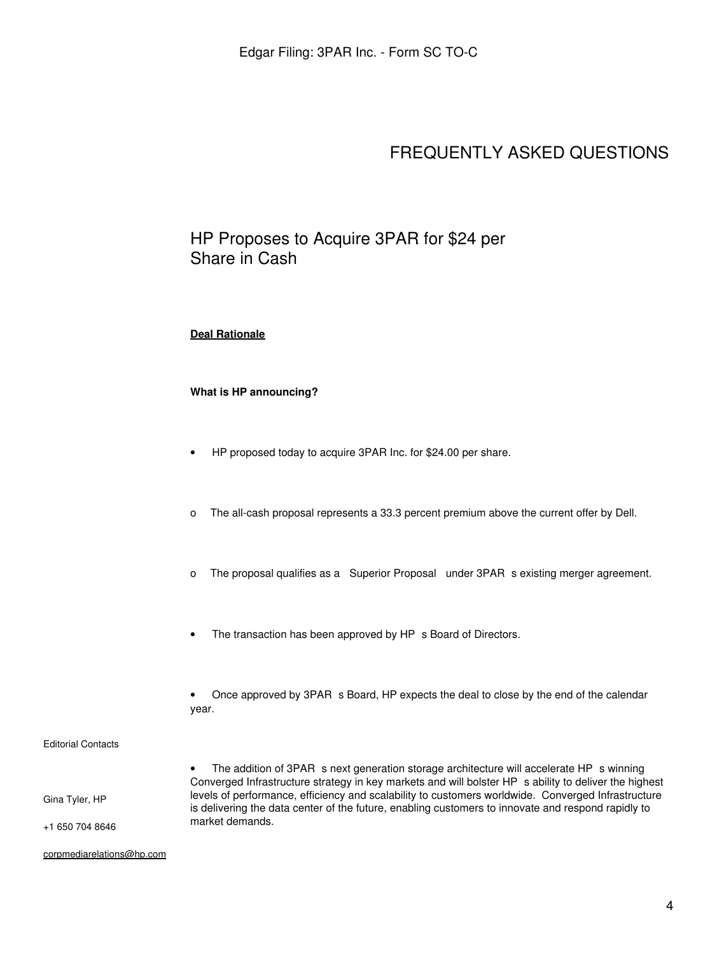# FREQUENTLY ASKED QUESTIONS

# HP Proposes to Acquire 3PAR for \$24 per Share in Cash

#### **Deal Rationale**

### **What is HP announcing?**

- HP proposed today to acquire 3PAR Inc. for \$24.00 per share.
- o The all-cash proposal represents a 33.3 percent premium above the current offer by Dell.
- o The proposal qualifies as a Superior Proposal under 3PAR s existing merger agreement.
- The transaction has been approved by HP s Board of Directors.

• Once approved by 3PAR s Board, HP expects the deal to close by the end of the calendar year.

#### Editorial Contacts

Gina Tyler, HP

+1 650 704 8646

The addition of 3PAR s next generation storage architecture will accelerate HP s winning Converged Infrastructure strategy in key markets and will bolster HP s ability to deliver the highest levels of performance, efficiency and scalability to customers worldwide. Converged Infrastructure is delivering the data center of the future, enabling customers to innovate and respond rapidly to market demands.

corpmediarelations@hp.com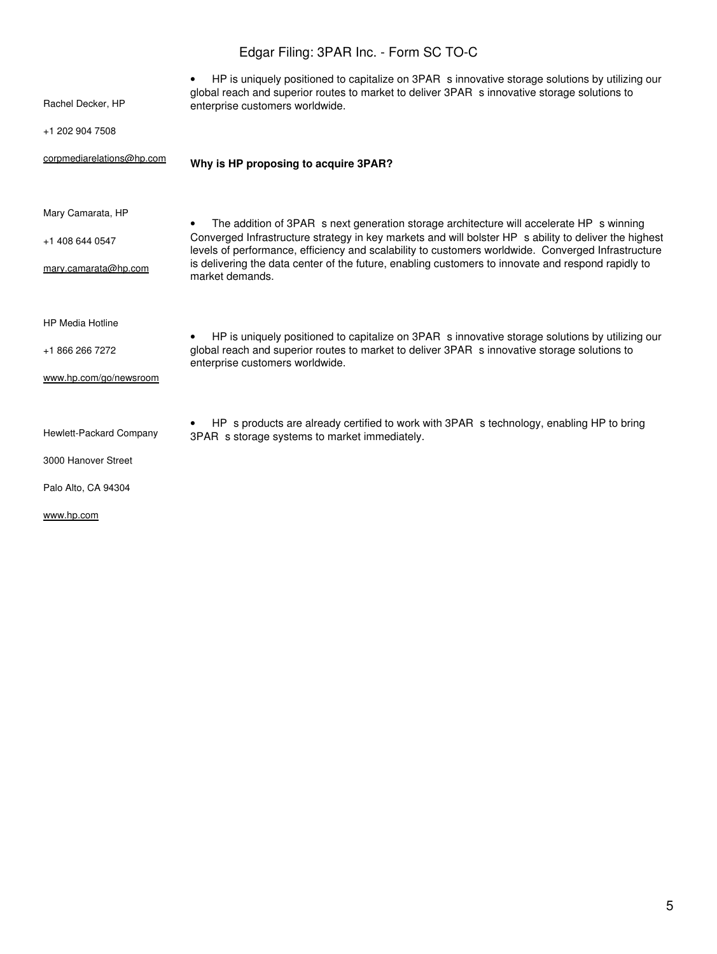| Rachel Decker, HP                    | HP is uniquely positioned to capitalize on 3PAR s innovative storage solutions by utilizing our<br>global reach and superior routes to market to deliver 3PAR s innovative storage solutions to<br>enterprise customers worldwide.                                                                      |
|--------------------------------------|---------------------------------------------------------------------------------------------------------------------------------------------------------------------------------------------------------------------------------------------------------------------------------------------------------|
| +1 202 904 7508                      |                                                                                                                                                                                                                                                                                                         |
| corpmediarelations@hp.com            | Why is HP proposing to acquire 3PAR?                                                                                                                                                                                                                                                                    |
| Mary Camarata, HP<br>+1 408 644 0547 | The addition of 3PAR s next generation storage architecture will accelerate HP s winning<br>Converged Infrastructure strategy in key markets and will bolster HP s ability to deliver the highest<br>levels of performance, efficiency and scalability to customers worldwide. Converged Infrastructure |
| mary.camarata@hp.com                 | is delivering the data center of the future, enabling customers to innovate and respond rapidly to<br>market demands.                                                                                                                                                                                   |
| <b>HP Media Hotline</b>              | HP is uniquely positioned to capitalize on 3PAR s innovative storage solutions by utilizing our<br>$\bullet$                                                                                                                                                                                            |
| +1 866 266 7272                      | global reach and superior routes to market to deliver 3PAR s innovative storage solutions to<br>enterprise customers worldwide.                                                                                                                                                                         |
| www.hp.com/go/newsroom               |                                                                                                                                                                                                                                                                                                         |
| Hewlett-Packard Company              | HP s products are already certified to work with 3PAR s technology, enabling HP to bring<br>3PAR s storage systems to market immediately.                                                                                                                                                               |
| 3000 Hanover Street                  |                                                                                                                                                                                                                                                                                                         |
| Palo Alto, CA 94304                  |                                                                                                                                                                                                                                                                                                         |
| www.hp.com                           |                                                                                                                                                                                                                                                                                                         |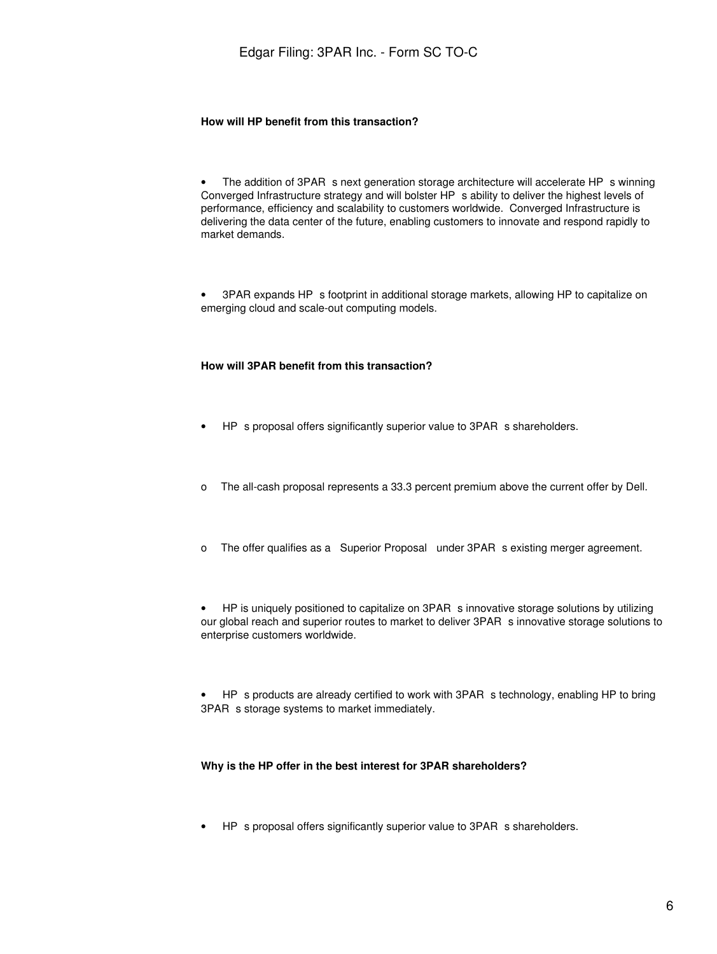#### **How will HP benefit from this transaction?**

The addition of 3PAR s next generation storage architecture will accelerate HP s winning Converged Infrastructure strategy and will bolster HP s ability to deliver the highest levels of performance, efficiency and scalability to customers worldwide. Converged Infrastructure is delivering the data center of the future, enabling customers to innovate and respond rapidly to market demands.

• 3PAR expands HP s footprint in additional storage markets, allowing HP to capitalize on emerging cloud and scale-out computing models.

#### **How will 3PAR benefit from this transaction?**

- HP s proposal offers significantly superior value to 3PAR s shareholders.
- o The all-cash proposal represents a 33.3 percent premium above the current offer by Dell.
- o The offer qualifies as a Superior Proposal under 3PAR s existing merger agreement.

• HP is uniquely positioned to capitalize on 3PAR s innovative storage solutions by utilizing our global reach and superior routes to market to deliver 3PAR s innovative storage solutions to enterprise customers worldwide.

HP s products are already certified to work with 3PAR s technology, enabling HP to bring 3PAR s storage systems to market immediately.

#### **Why is the HP offer in the best interest for 3PAR shareholders?**

• HP s proposal offers significantly superior value to 3PAR s shareholders.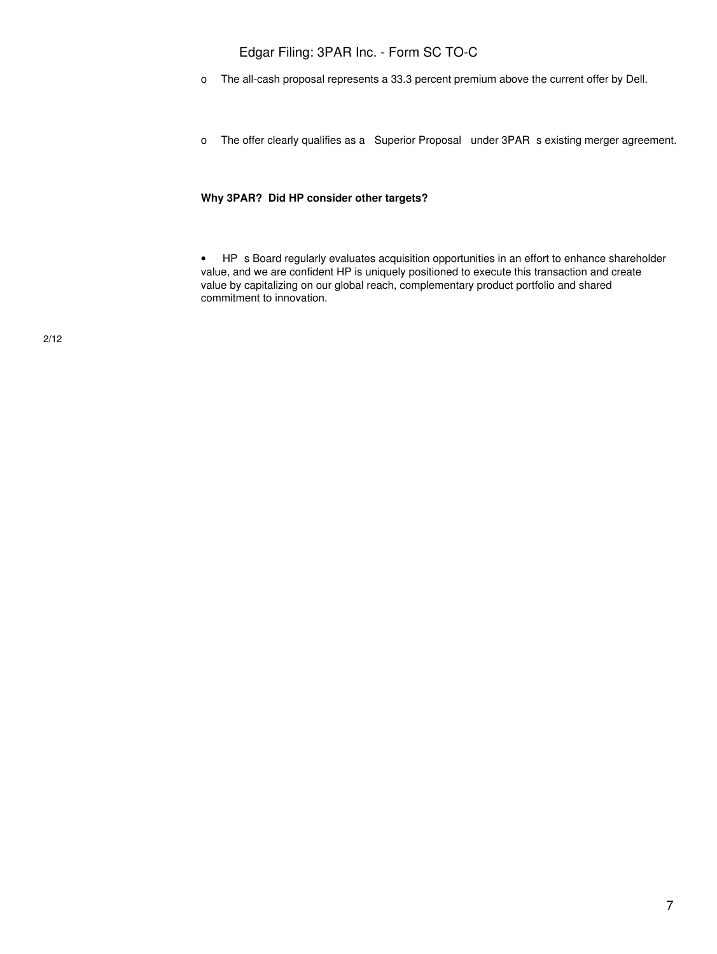- o The all-cash proposal represents a 33.3 percent premium above the current offer by Dell.
- o The offer clearly qualifies as a Superior Proposal under 3PAR s existing merger agreement.

### **Why 3PAR? Did HP consider other targets?**

• HP s Board regularly evaluates acquisition opportunities in an effort to enhance shareholder value, and we are confident HP is uniquely positioned to execute this transaction and create value by capitalizing on our global reach, complementary product portfolio and shared commitment to innovation.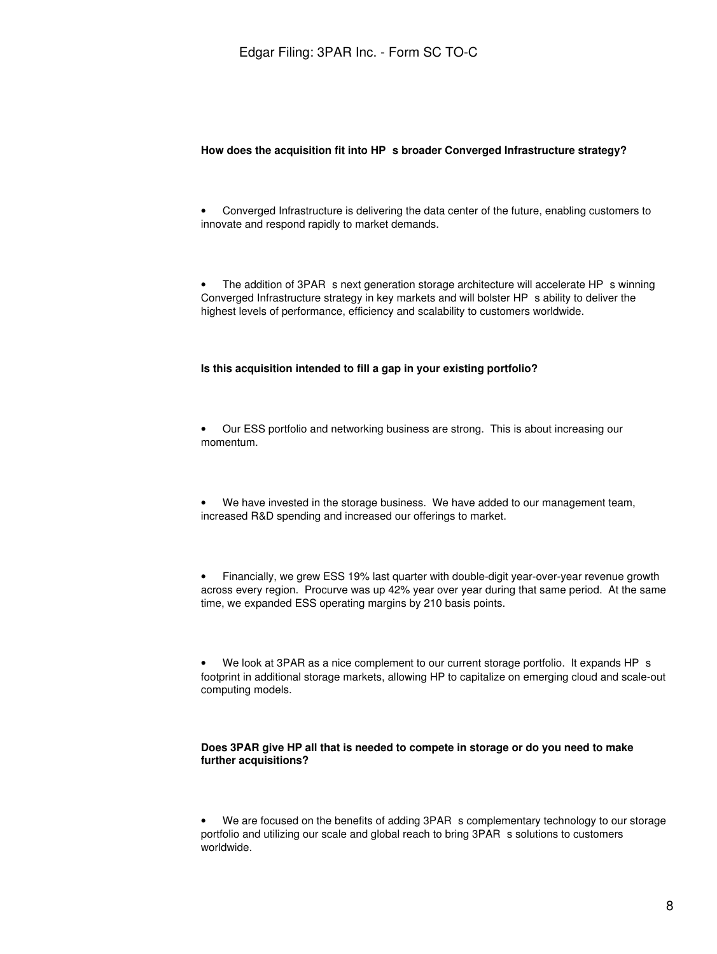#### **How does the acquisition fit into HPs broader Converged Infrastructure strategy?**

• Converged Infrastructure is delivering the data center of the future, enabling customers to innovate and respond rapidly to market demands.

The addition of 3PAR s next generation storage architecture will accelerate HP s winning Converged Infrastructure strategy in key markets and will bolster HP s ability to deliver the highest levels of performance, efficiency and scalability to customers worldwide.

#### **Is this acquisition intended to fill a gap in your existing portfolio?**

• Our ESS portfolio and networking business are strong. This is about increasing our momentum.

We have invested in the storage business. We have added to our management team, increased R&D spending and increased our offerings to market.

• Financially, we grew ESS 19% last quarter with double-digit year-over-year revenue growth across every region. Procurve was up 42% year over year during that same period. At the same time, we expanded ESS operating margins by 210 basis points.

We look at 3PAR as a nice complement to our current storage portfolio. It expands HP s footprint in additional storage markets, allowing HP to capitalize on emerging cloud and scale-out computing models.

#### **Does 3PAR give HP all that is needed to compete in storage or do you need to make further acquisitions?**

We are focused on the benefits of adding 3PAR s complementary technology to our storage portfolio and utilizing our scale and global reach to bring 3PAR s solutions to customers worldwide.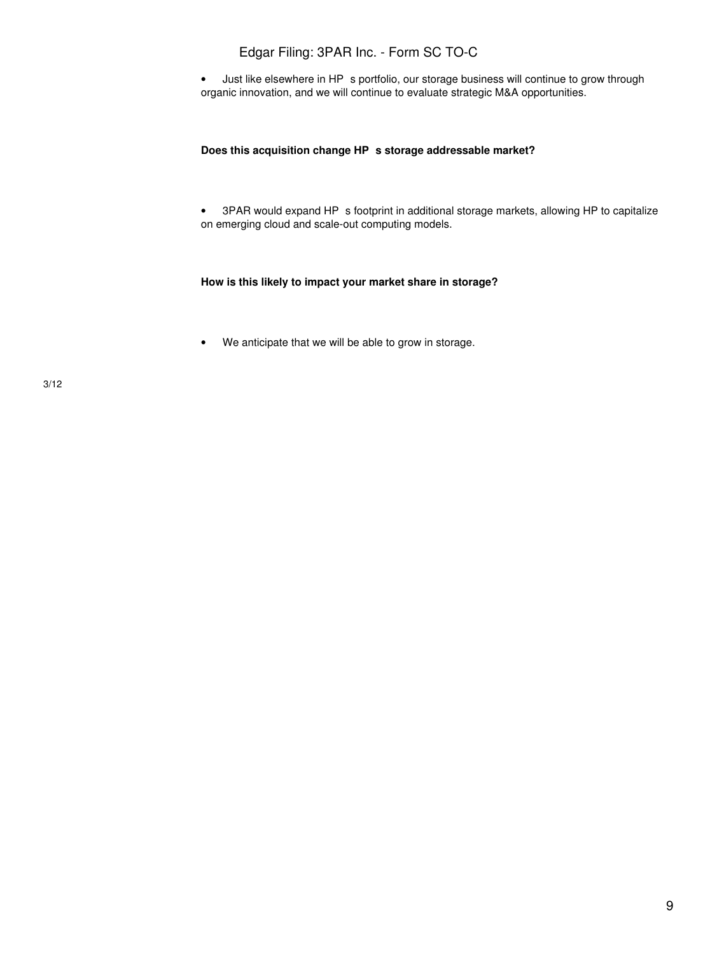• Just like elsewhere in HP s portfolio, our storage business will continue to grow through organic innovation, and we will continue to evaluate strategic M&A opportunities.

#### Does this acquisition change HP s storage addressable market?

• 3PAR would expand HP s footprint in additional storage markets, allowing HP to capitalize on emerging cloud and scale-out computing models.

#### **How is this likely to impact your market share in storage?**

• We anticipate that we will be able to grow in storage.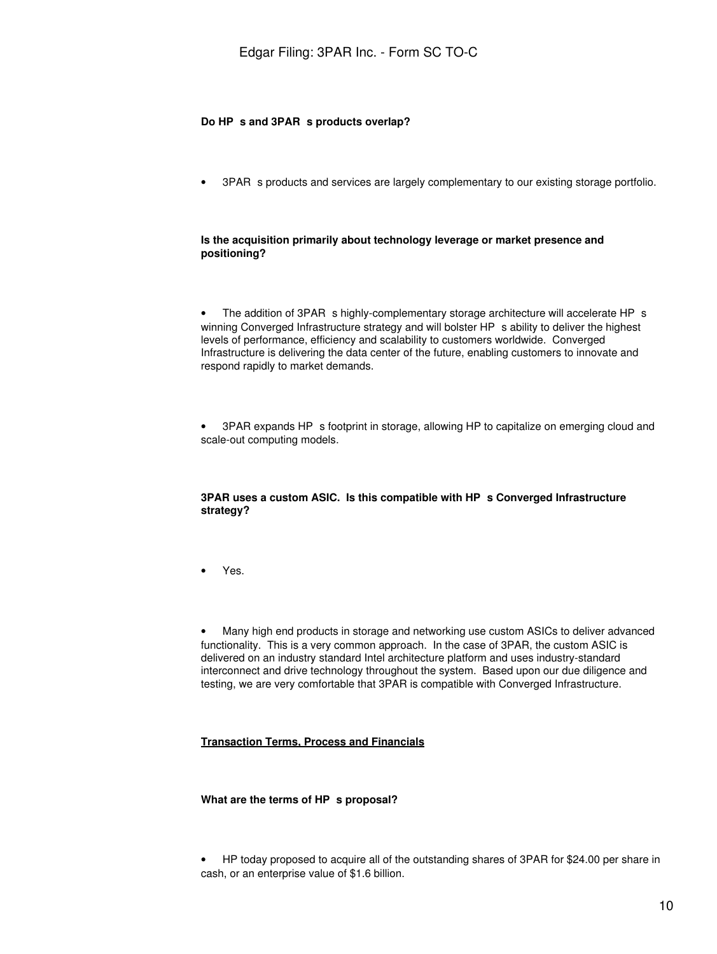#### Do HP s and 3PAR s products overlap?

3PAR s products and services are largely complementary to our existing storage portfolio.

#### **Is the acquisition primarily about technology leverage or market presence and positioning?**

The addition of 3PAR s highly-complementary storage architecture will accelerate HP s winning Converged Infrastructure strategy and will bolster HP s ability to deliver the highest levels of performance, efficiency and scalability to customers worldwide. Converged Infrastructure is delivering the data center of the future, enabling customers to innovate and respond rapidly to market demands.

3PAR expands HP s footprint in storage, allowing HP to capitalize on emerging cloud and scale-out computing models.

#### **3PAR uses a custom ASIC. Is this compatible with HPs Converged Infrastructure strategy?**

• Yes.

• Many high end products in storage and networking use custom ASICs to deliver advanced functionality. This is a very common approach. In the case of 3PAR, the custom ASIC is delivered on an industry standard Intel architecture platform and uses industry-standard interconnect and drive technology throughout the system. Based upon our due diligence and testing, we are very comfortable that 3PAR is compatible with Converged Infrastructure.

#### **Transaction Terms, Process and Financials**

#### **What are the terms of HP s proposal?**

• HP today proposed to acquire all of the outstanding shares of 3PAR for \$24.00 per share in cash, or an enterprise value of \$1.6 billion.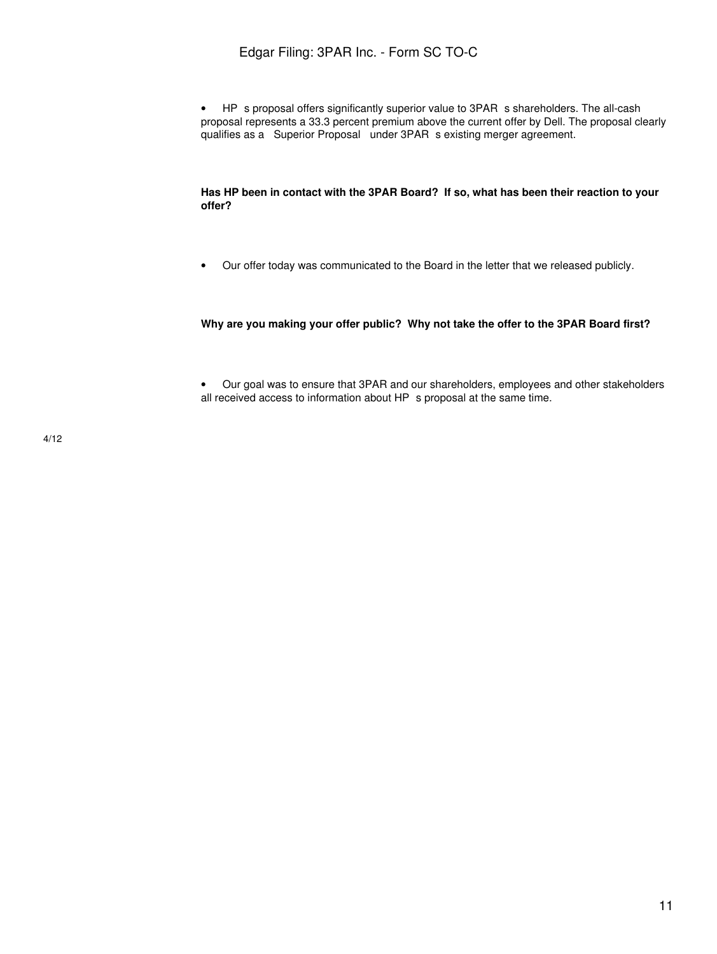• HP s proposal offers significantly superior value to 3PAR s shareholders. The all-cash proposal represents a 33.3 percent premium above the current offer by Dell. The proposal clearly qualifies as a Superior Proposal under 3PAR s existing merger agreement.

#### **Has HP been in contact with the 3PAR Board? If so, what has been their reaction to your offer?**

• Our offer today was communicated to the Board in the letter that we released publicly.

#### **Why are you making your offer public? Why not take the offer to the 3PAR Board first?**

• Our goal was to ensure that 3PAR and our shareholders, employees and other stakeholders all received access to information about HP s proposal at the same time.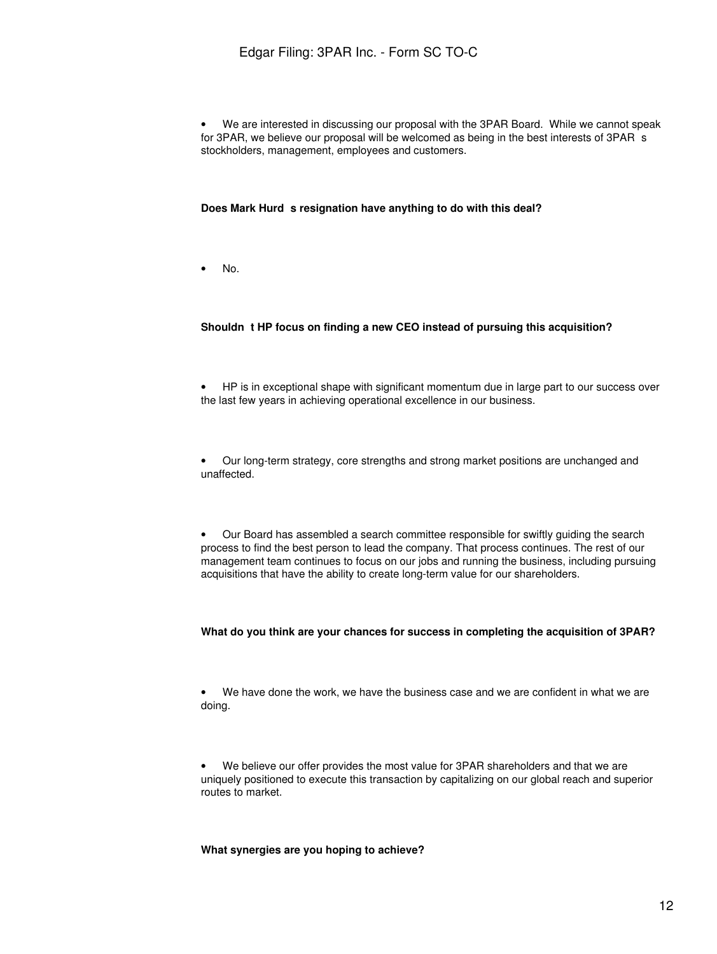• We are interested in discussing our proposal with the 3PAR Board. While we cannot speak for 3PAR, we believe our proposal will be welcomed as being in the best interests of 3PAR s stockholders, management, employees and customers.

#### Does Mark Hurd s resignation have anything to do with this deal?

• No.

#### Shouldn t HP focus on finding a new CEO instead of pursuing this acquisition?

• HP is in exceptional shape with significant momentum due in large part to our success over the last few years in achieving operational excellence in our business.

• Our long-term strategy, core strengths and strong market positions are unchanged and unaffected.

• Our Board has assembled a search committee responsible for swiftly guiding the search process to find the best person to lead the company. That process continues. The rest of our management team continues to focus on our jobs and running the business, including pursuing acquisitions that have the ability to create long-term value for our shareholders.

#### **What do you think are your chances for success in completing the acquisition of 3PAR?**

• We have done the work, we have the business case and we are confident in what we are doing.

• We believe our offer provides the most value for 3PAR shareholders and that we are uniquely positioned to execute this transaction by capitalizing on our global reach and superior routes to market.

**What synergies are you hoping to achieve?**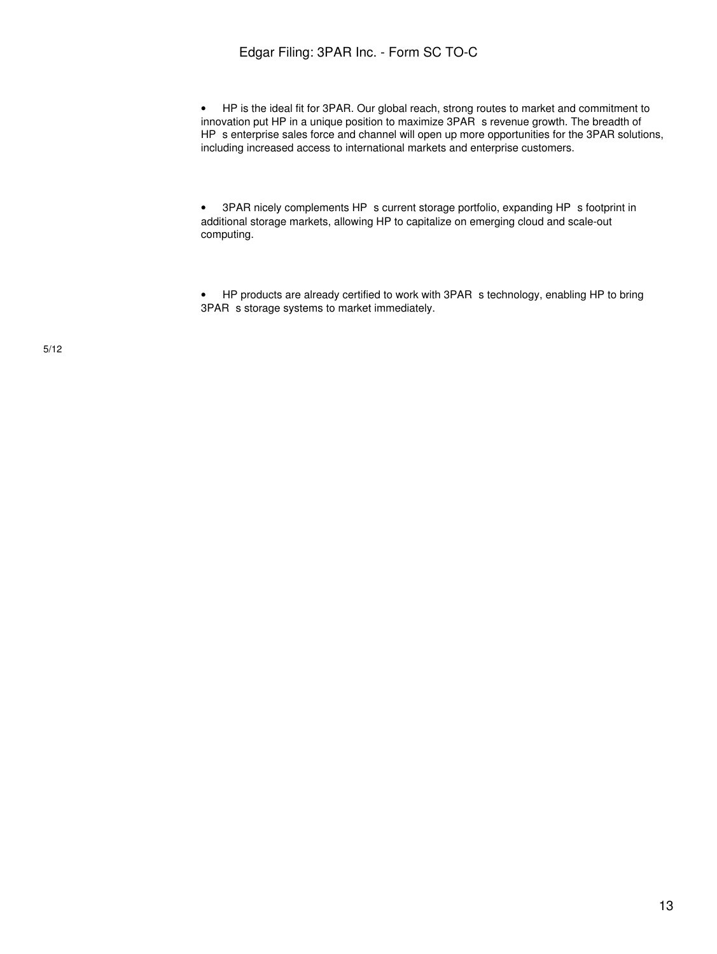• HP is the ideal fit for 3PAR. Our global reach, strong routes to market and commitment to innovation put HP in a unique position to maximize 3PAR s revenue growth. The breadth of HP s enterprise sales force and channel will open up more opportunities for the 3PAR solutions, including increased access to international markets and enterprise customers.

• 3PAR nicely complements HP s current storage portfolio, expanding HP s footprint in additional storage markets, allowing HP to capitalize on emerging cloud and scale-out computing.

• HP products are already certified to work with 3PAR s technology, enabling HP to bring 3PAR s storage systems to market immediately.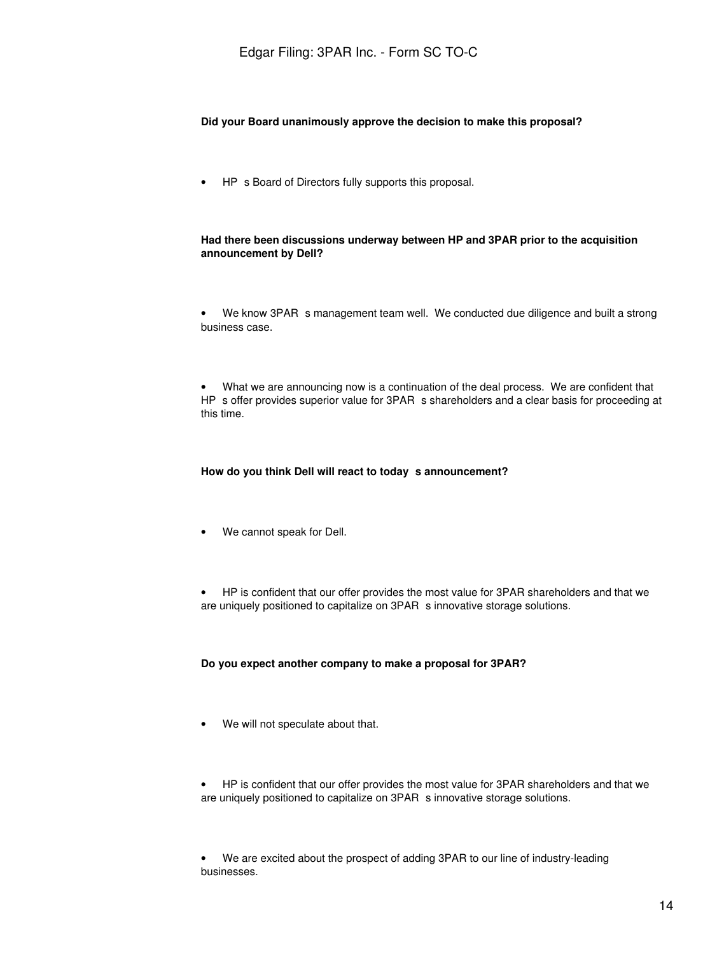#### **Did your Board unanimously approve the decision to make this proposal?**

• HP s Board of Directors fully supports this proposal.

#### **Had there been discussions underway between HP and 3PAR prior to the acquisition announcement by Dell?**

We know 3PAR s management team well. We conducted due diligence and built a strong business case.

• What we are announcing now is a continuation of the deal process. We are confident that HP s offer provides superior value for 3PAR s shareholders and a clear basis for proceeding at this time.

#### How do you think Dell will react to today s announcement?

• We cannot speak for Dell.

• HP is confident that our offer provides the most value for 3PAR shareholders and that we are uniquely positioned to capitalize on 3PAR s innovative storage solutions.

#### **Do you expect another company to make a proposal for 3PAR?**

• We will not speculate about that.

• HP is confident that our offer provides the most value for 3PAR shareholders and that we are uniquely positioned to capitalize on 3PAR s innovative storage solutions.

• We are excited about the prospect of adding 3PAR to our line of industry-leading businesses.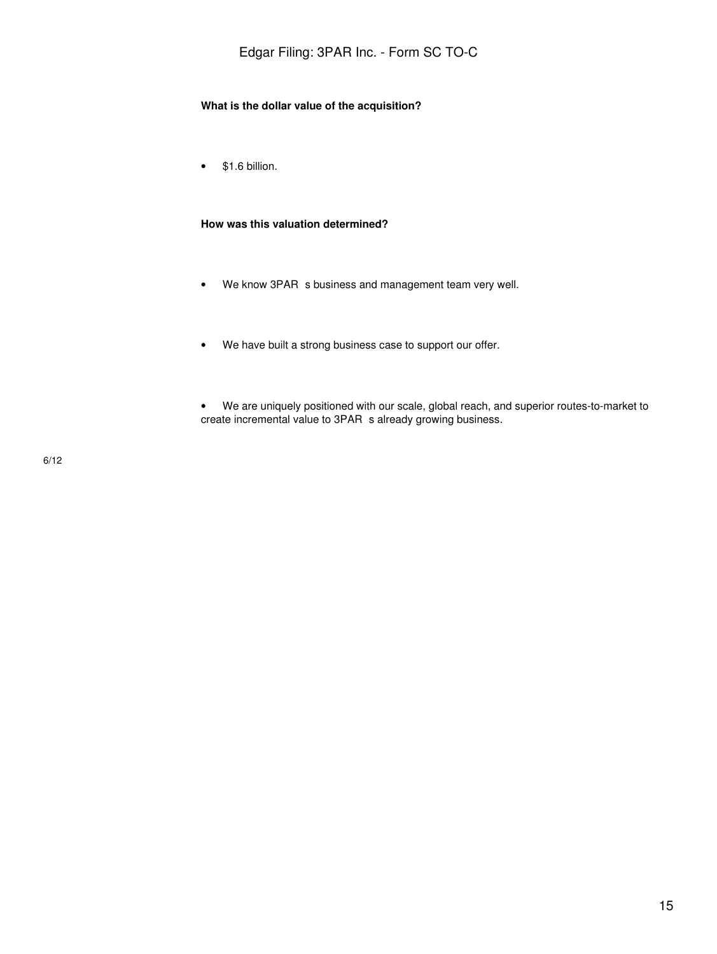#### **What is the dollar value of the acquisition?**

• \$1.6 billion.

#### **How was this valuation determined?**

- We know 3PAR s business and management team very well.
- We have built a strong business case to support our offer.
- We are uniquely positioned with our scale, global reach, and superior routes-to-market to create incremental value to 3PAR s already growing business.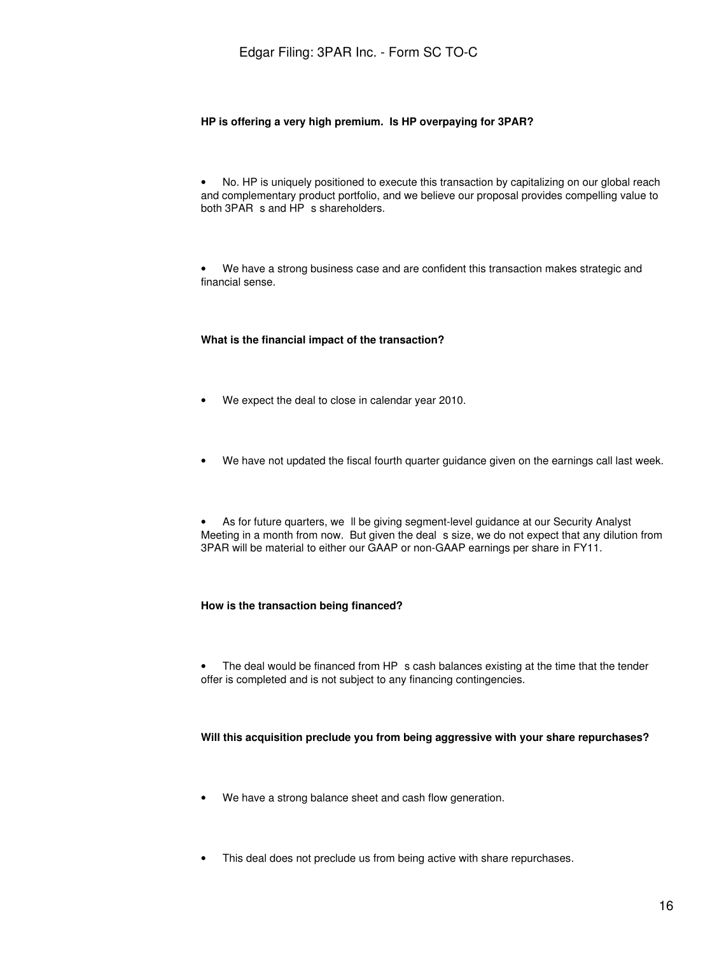#### **HP is offering a very high premium. Is HP overpaying for 3PAR?**

• No. HP is uniquely positioned to execute this transaction by capitalizing on our global reach and complementary product portfolio, and we believe our proposal provides compelling value to both 3PAR s and HP s shareholders.

• We have a strong business case and are confident this transaction makes strategic and financial sense.

#### **What is the financial impact of the transaction?**

- We expect the deal to close in calendar year 2010.
- We have not updated the fiscal fourth quarter guidance given on the earnings call last week.

• As for future quarters, we II be giving segment-level guidance at our Security Analyst Meeting in a month from now. But given the deal s size, we do not expect that any dilution from 3PAR will be material to either our GAAP or non-GAAP earnings per share in FY11.

#### **How is the transaction being financed?**

• The deal would be financed from HP s cash balances existing at the time that the tender offer is completed and is not subject to any financing contingencies.

#### **Will this acquisition preclude you from being aggressive with your share repurchases?**

- We have a strong balance sheet and cash flow generation.
- This deal does not preclude us from being active with share repurchases.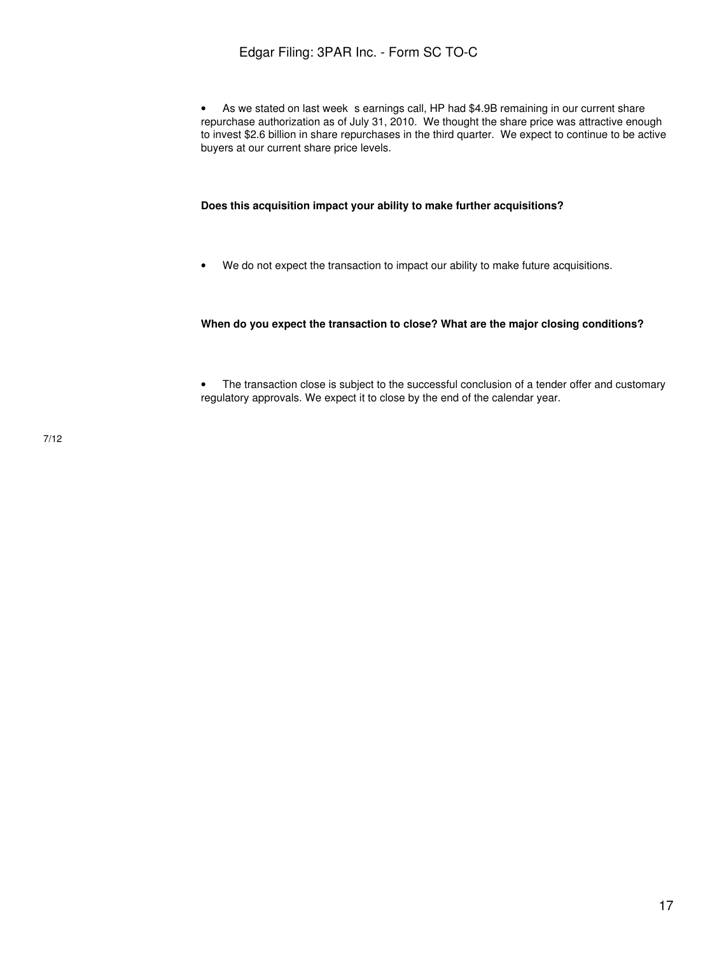• As we stated on last week s earnings call, HP had \$4.9B remaining in our current share repurchase authorization as of July 31, 2010. We thought the share price was attractive enough to invest \$2.6 billion in share repurchases in the third quarter. We expect to continue to be active buyers at our current share price levels.

#### **Does this acquisition impact your ability to make further acquisitions?**

• We do not expect the transaction to impact our ability to make future acquisitions.

#### **When do you expect the transaction to close? What are the major closing conditions?**

• The transaction close is subject to the successful conclusion of a tender offer and customary regulatory approvals. We expect it to close by the end of the calendar year.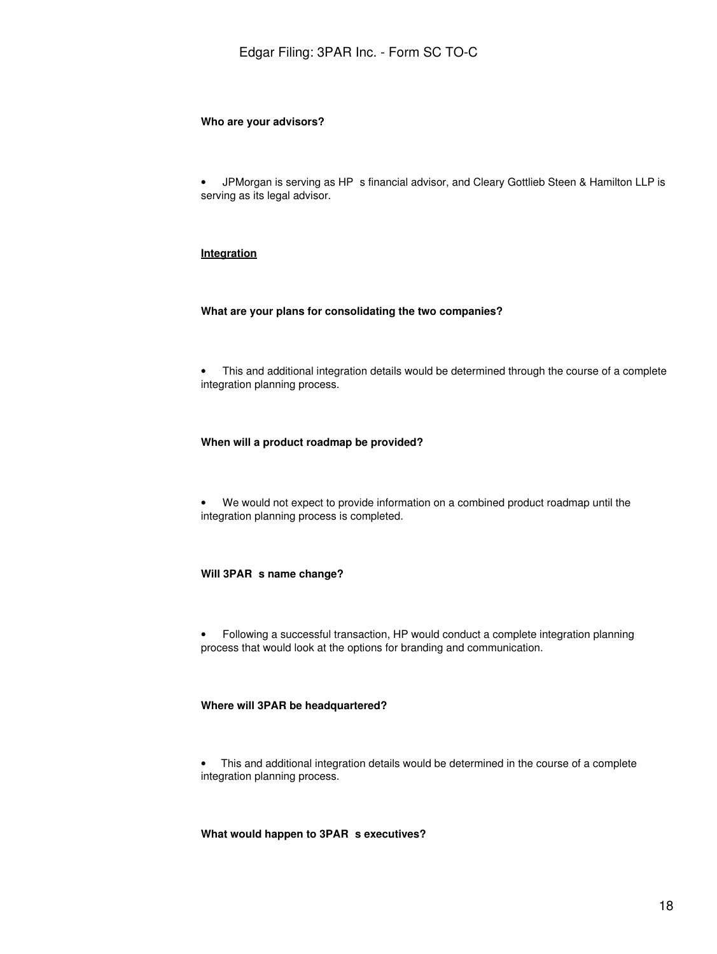#### **Who are your advisors?**

• JPMorgan is serving as HP s financial advisor, and Cleary Gottlieb Steen & Hamilton LLP is serving as its legal advisor.

#### **Integration**

#### **What are your plans for consolidating the two companies?**

• This and additional integration details would be determined through the course of a complete integration planning process.

#### **When will a product roadmap be provided?**

• We would not expect to provide information on a combined product roadmap until the integration planning process is completed.

#### **Will 3PAR s name change?**

• Following a successful transaction, HP would conduct a complete integration planning process that would look at the options for branding and communication.

#### **Where will 3PAR be headquartered?**

• This and additional integration details would be determined in the course of a complete integration planning process.

#### **What would happen to 3PAR s executives?**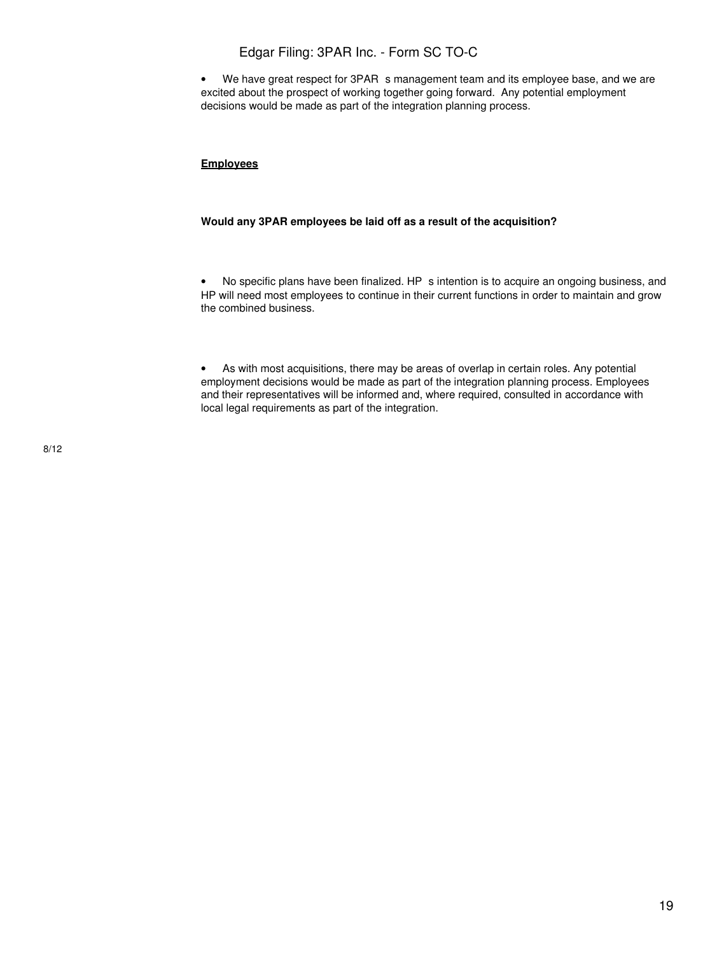• We have great respect for 3PAR s management team and its employee base, and we are excited about the prospect of working together going forward. Any potential employment decisions would be made as part of the integration planning process.

#### **Employees**

#### **Would any 3PAR employees be laid off as a result of the acquisition?**

• No specific plans have been finalized. HP s intention is to acquire an ongoing business, and HP will need most employees to continue in their current functions in order to maintain and grow the combined business.

• As with most acquisitions, there may be areas of overlap in certain roles. Any potential employment decisions would be made as part of the integration planning process. Employees and their representatives will be informed and, where required, consulted in accordance with local legal requirements as part of the integration.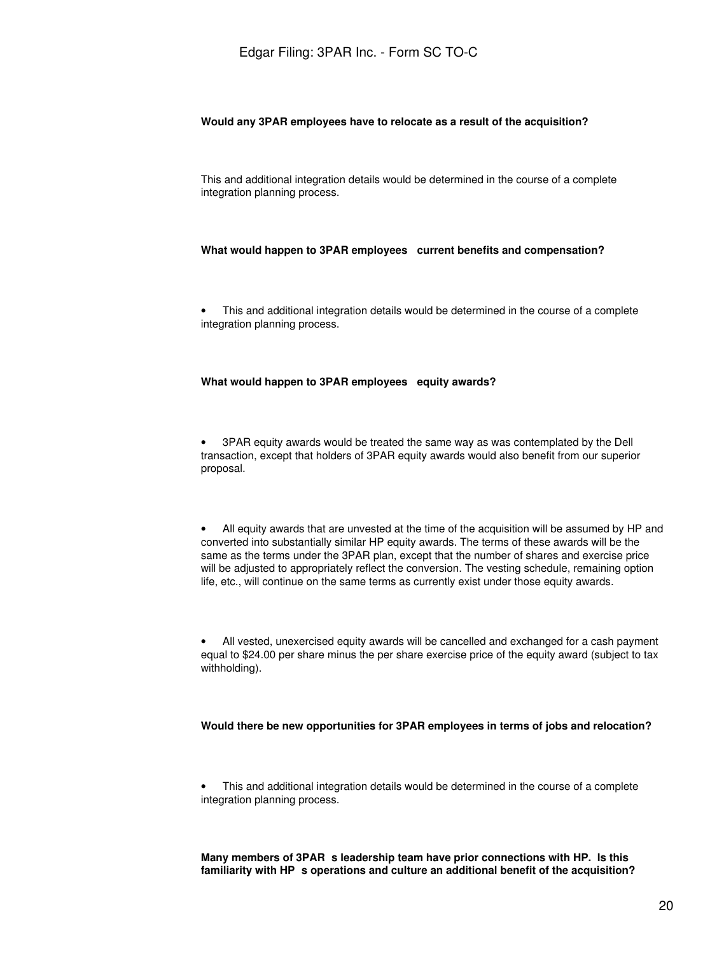#### **Would any 3PAR employees have to relocate as a result of the acquisition?**

This and additional integration details would be determined in the course of a complete integration planning process.

#### **What would happen to 3PAR employees current benefits and compensation?**

• This and additional integration details would be determined in the course of a complete integration planning process.

#### **What would happen to 3PAR employees equity awards?**

• 3PAR equity awards would be treated the same way as was contemplated by the Dell transaction, except that holders of 3PAR equity awards would also benefit from our superior proposal.

• All equity awards that are unvested at the time of the acquisition will be assumed by HP and converted into substantially similar HP equity awards. The terms of these awards will be the same as the terms under the 3PAR plan, except that the number of shares and exercise price will be adjusted to appropriately reflect the conversion. The vesting schedule, remaining option life, etc., will continue on the same terms as currently exist under those equity awards.

• All vested, unexercised equity awards will be cancelled and exchanged for a cash payment equal to \$24.00 per share minus the per share exercise price of the equity award (subject to tax withholding).

#### **Would there be new opportunities for 3PAR employees in terms of jobs and relocation?**

• This and additional integration details would be determined in the course of a complete integration planning process.

Many members of 3PAR s leadership team have prior connections with HP. Is this **familiarity with HPs operations and culture an additional benefit of the acquisition?**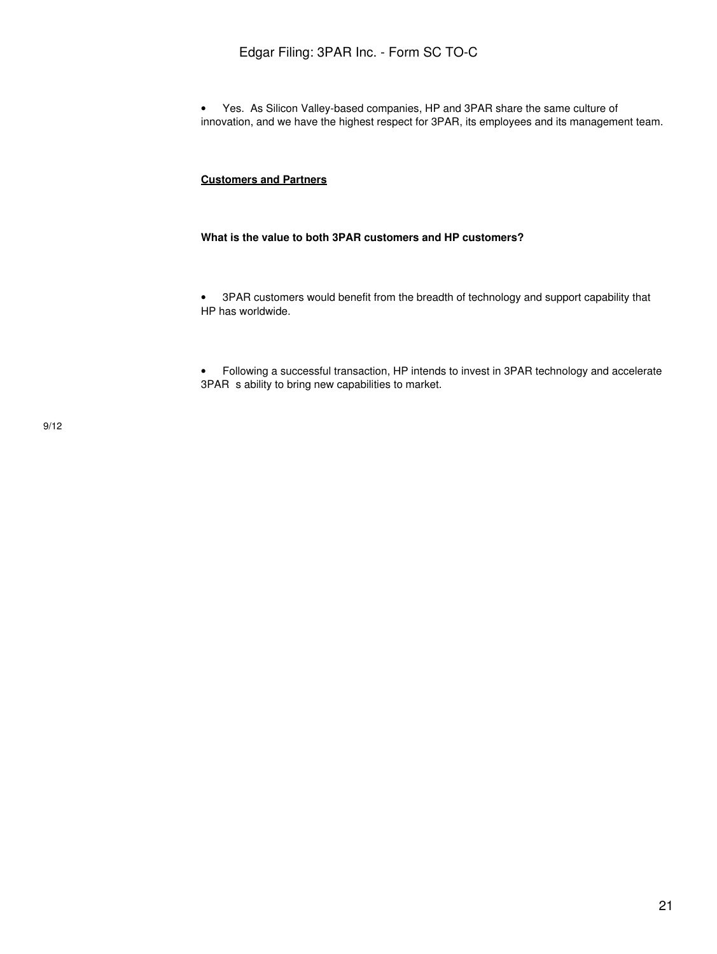• Yes. As Silicon Valley-based companies, HP and 3PAR share the same culture of innovation, and we have the highest respect for 3PAR, its employees and its management team.

### **Customers and Partners**

#### **What is the value to both 3PAR customers and HP customers?**

• 3PAR customers would benefit from the breadth of technology and support capability that HP has worldwide.

• Following a successful transaction, HP intends to invest in 3PAR technology and accelerate 3PAR s ability to bring new capabilities to market.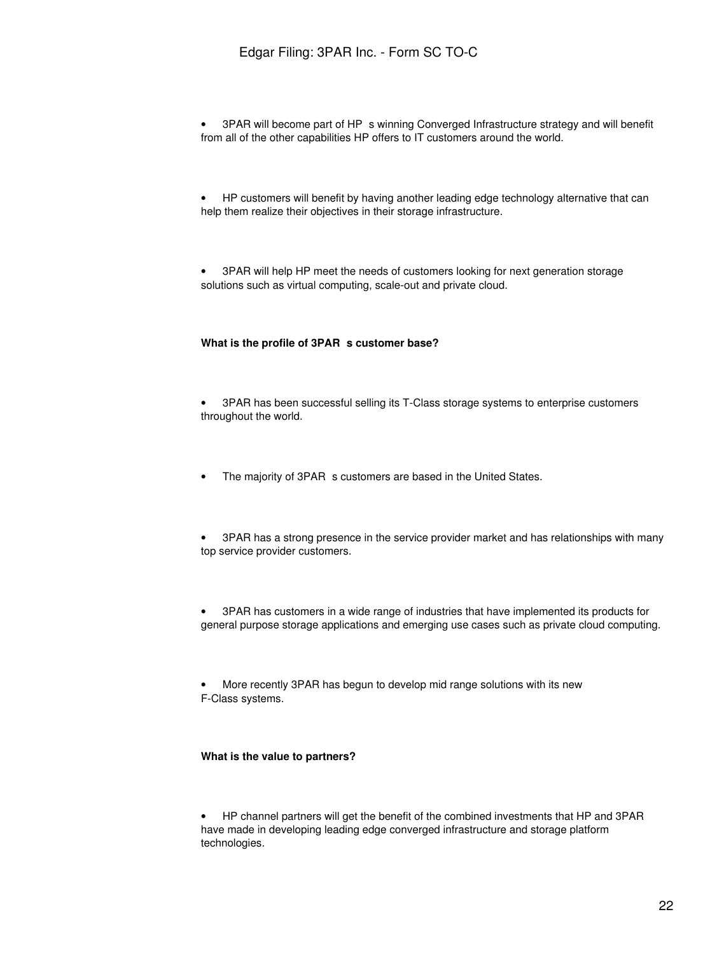• 3PAR will become part of HP s winning Converged Infrastructure strategy and will benefit from all of the other capabilities HP offers to IT customers around the world.

• HP customers will benefit by having another leading edge technology alternative that can help them realize their objectives in their storage infrastructure.

• 3PAR will help HP meet the needs of customers looking for next generation storage solutions such as virtual computing, scale-out and private cloud.

#### What is the profile of 3PAR s customer base?

• 3PAR has been successful selling its T-Class storage systems to enterprise customers throughout the world.

- The majority of 3PAR s customers are based in the United States.
- 3PAR has a strong presence in the service provider market and has relationships with many top service provider customers.

• 3PAR has customers in a wide range of industries that have implemented its products for general purpose storage applications and emerging use cases such as private cloud computing.

• More recently 3PAR has begun to develop mid range solutions with its new F-Class systems.

#### **What is the value to partners?**

• HP channel partners will get the benefit of the combined investments that HP and 3PAR have made in developing leading edge converged infrastructure and storage platform technologies.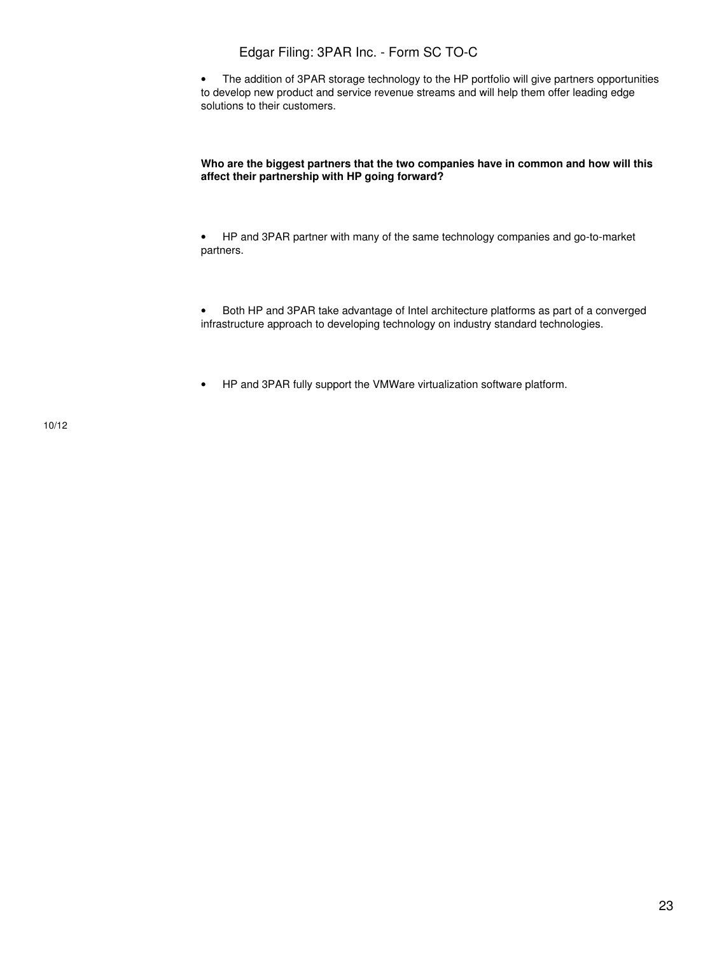• The addition of 3PAR storage technology to the HP portfolio will give partners opportunities to develop new product and service revenue streams and will help them offer leading edge solutions to their customers.

#### **Who are the biggest partners that the two companies have in common and how will this affect their partnership with HP going forward?**

• HP and 3PAR partner with many of the same technology companies and go-to-market partners.

• Both HP and 3PAR take advantage of Intel architecture platforms as part of a converged infrastructure approach to developing technology on industry standard technologies.

• HP and 3PAR fully support the VMWare virtualization software platform.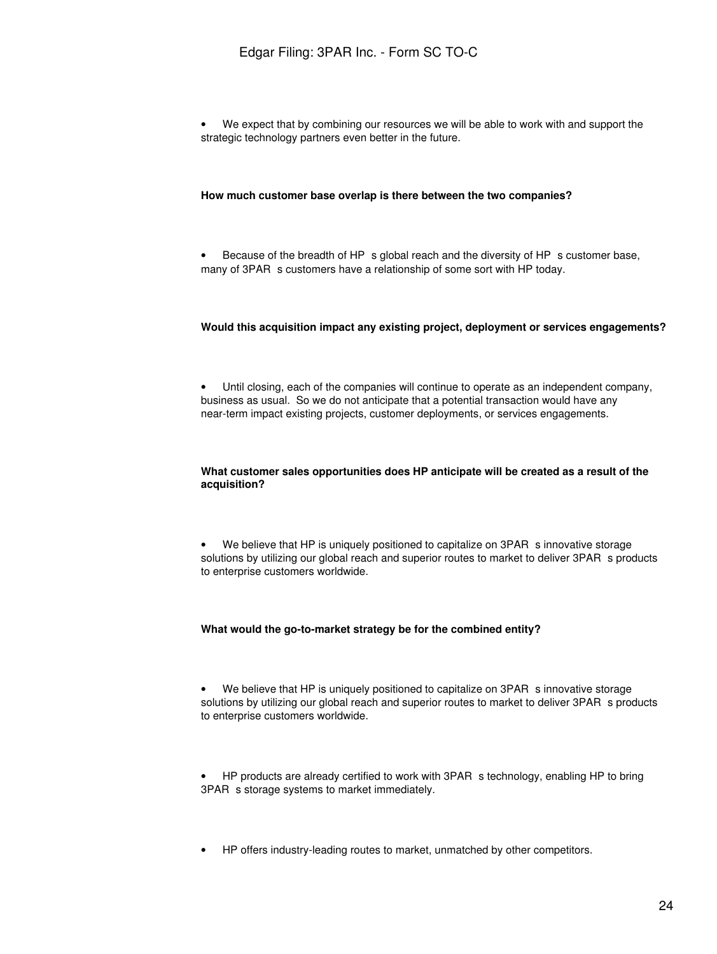• We expect that by combining our resources we will be able to work with and support the strategic technology partners even better in the future.

#### **How much customer base overlap is there between the two companies?**

• Because of the breadth of HP s global reach and the diversity of HP s customer base, many of 3PAR s customers have a relationship of some sort with HP today.

#### **Would this acquisition impact any existing project, deployment or services engagements?**

• Until closing, each of the companies will continue to operate as an independent company, business as usual. So we do not anticipate that a potential transaction would have any near-term impact existing projects, customer deployments, or services engagements.

#### **What customer sales opportunities does HP anticipate will be created as a result of the acquisition?**

• We believe that HP is uniquely positioned to capitalize on 3PAR s innovative storage solutions by utilizing our global reach and superior routes to market to deliver 3PAR s products to enterprise customers worldwide.

#### **What would the go-to-market strategy be for the combined entity?**

• We believe that HP is uniquely positioned to capitalize on 3PAR s innovative storage solutions by utilizing our global reach and superior routes to market to deliver 3PAR s products to enterprise customers worldwide.

HP products are already certified to work with 3PAR s technology, enabling HP to bring 3PAR s storage systems to market immediately.

• HP offers industry-leading routes to market, unmatched by other competitors.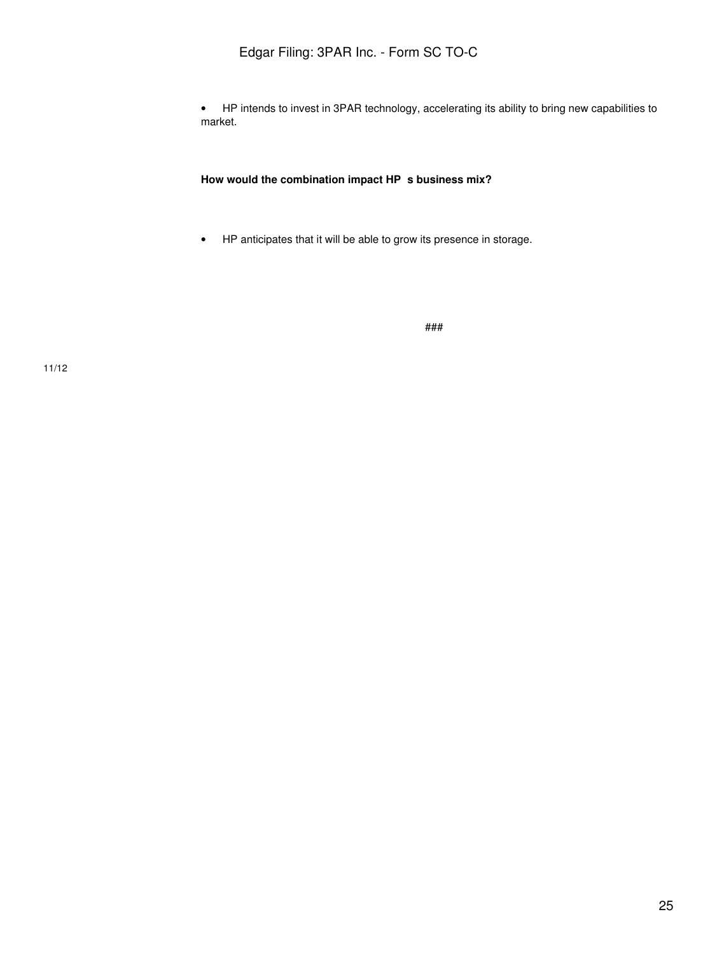• HP intends to invest in 3PAR technology, accelerating its ability to bring new capabilities to market.

How would the combination impact HP s business mix?

• HP anticipates that it will be able to grow its presence in storage.

###

11/12